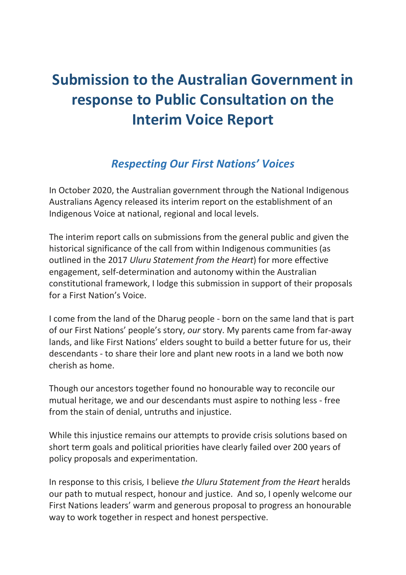# **Submission to the Australian Government in response to Public Consultation on the Interim Voice Report**

## *Respecting Our First Nations' Voices*

In October 2020, the Australian government through the National Indigenous Australians Agency released its interim report on the establishment of an Indigenous Voice at national, regional and local levels.

The interim report calls on submissions from the general public and given the historical significance of the call from within Indigenous communities (as outlined in the 2017 *Uluru Statement from the Heart*) for more effective engagement, self-determination and autonomy within the Australian constitutional framework, I lodge this submission in support of their proposals for a First Nation's Voice.

I come from the land of the Dharug people - born on the same land that is part of our First Nations' people's story, *our* story. My parents came from far-away lands, and like First Nations' elders sought to build a better future for us, their descendants - to share their lore and plant new roots in a land we both now cherish as home.

Though our ancestors together found no honourable way to reconcile our mutual heritage, we and our descendants must aspire to nothing less - free from the stain of denial, untruths and injustice.

While this injustice remains our attempts to provide crisis solutions based on short term goals and political priorities have clearly failed over 200 years of policy proposals and experimentation.

In response to this crisis*,* I believe *the Uluru Statement from the Heart* heralds our path to mutual respect, honour and justice. And so, I openly welcome our First Nations leaders' warm and generous proposal to progress an honourable way to work together in respect and honest perspective.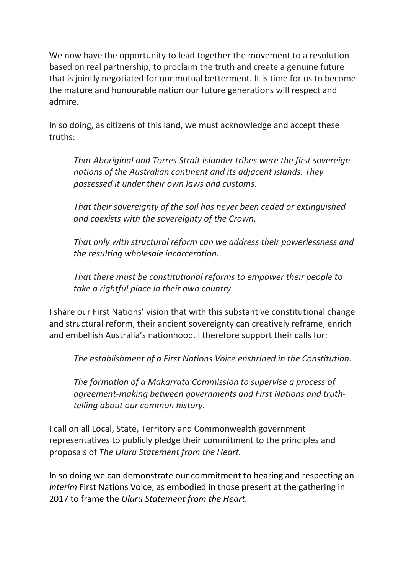We now have the opportunity to lead together the movement to a resolution based on real partnership, to proclaim the truth and create a genuine future that is jointly negotiated for our mutual betterment. It is time for us to become the mature and honourable nation our future generations will respect and admire.

In so doing, as citizens of this land, we must acknowledge and accept these truths:

*That Aboriginal and Torres Strait Islander tribes were the first sovereign nations of the Australian continent and its adjacent islands. They possessed it under their own laws and customs.*

*That their sovereignty of the soil has never been ceded or extinguished and coexists with the sovereignty of the Crown.*

*That only with structural reform can we address their powerlessness and the resulting wholesale incarceration.*

*That there must be constitutional reforms to empower their people to take a rightful place in their own country.*

I share our First Nations' vision that with this substantive constitutional change and structural reform, their ancient sovereignty can creatively reframe, enrich and embellish Australia's nationhood. I therefore support their calls for:

*The establishment of a First Nations Voice enshrined in the Constitution.*

*The formation of a Makarrata Commission to supervise a process of agreement-making between governments and First Nations and truthtelling about our common history.*

I call on all Local, State, Territory and Commonwealth government representatives to publicly pledge their commitment to the principles and proposals of *The Uluru Statement from the Heart.*

In so doing we can demonstrate our commitment to hearing and respecting an *Interim* First Nations Voice, as embodied in those present at the gathering in 2017 to frame the *Uluru Statement from the Heart.*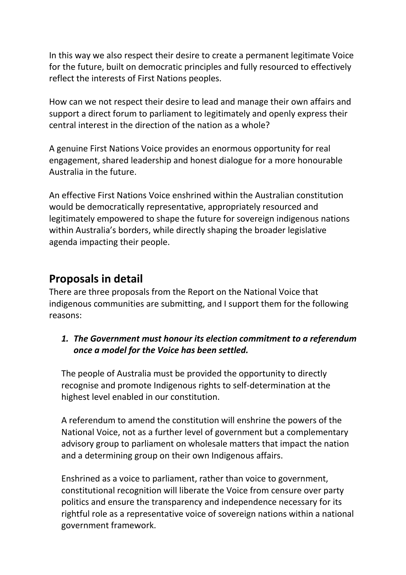In this way we also respect their desire to create a permanent legitimate Voice for the future, built on democratic principles and fully resourced to effectively reflect the interests of First Nations peoples.

How can we not respect their desire to lead and manage their own affairs and support a direct forum to parliament to legitimately and openly express their central interest in the direction of the nation as a whole?

A genuine First Nations Voice provides an enormous opportunity for real engagement, shared leadership and honest dialogue for a more honourable Australia in the future.

An effective First Nations Voice enshrined within the Australian constitution would be democratically representative, appropriately resourced and legitimately empowered to shape the future for sovereign indigenous nations within Australia's borders, while directly shaping the broader legislative agenda impacting their people.

## **Proposals in detail**

There are three proposals from the Report on the National Voice that indigenous communities are submitting, and I support them for the following reasons:

#### *1. The Government must honour its election commitment to a referendum once a model for the Voice has been settled.*

The people of Australia must be provided the opportunity to directly recognise and promote Indigenous rights to self-determination at the highest level enabled in our constitution.

A referendum to amend the constitution will enshrine the powers of the National Voice, not as a further level of government but a complementary advisory group to parliament on wholesale matters that impact the nation and a determining group on their own Indigenous affairs.

Enshrined as a voice to parliament, rather than voice to government, constitutional recognition will liberate the Voice from censure over party politics and ensure the transparency and independence necessary for its rightful role as a representative voice of sovereign nations within a national government framework.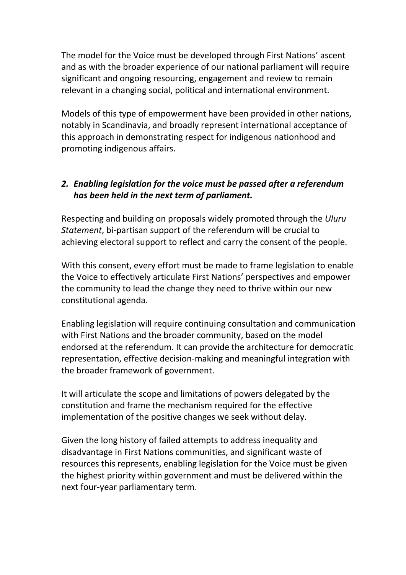The model for the Voice must be developed through First Nations' ascent and as with the broader experience of our national parliament will require significant and ongoing resourcing, engagement and review to remain relevant in a changing social, political and international environment.

Models of this type of empowerment have been provided in other nations, notably in Scandinavia, and broadly represent international acceptance of this approach in demonstrating respect for indigenous nationhood and promoting indigenous affairs.

#### *2. Enabling legislation for the voice must be passed after a referendum has been held in the next term of parliament.*

Respecting and building on proposals widely promoted through the *Uluru Statement*, bi-partisan support of the referendum will be crucial to achieving electoral support to reflect and carry the consent of the people.

With this consent, every effort must be made to frame legislation to enable the Voice to effectively articulate First Nations' perspectives and empower the community to lead the change they need to thrive within our new constitutional agenda.

Enabling legislation will require continuing consultation and communication with First Nations and the broader community, based on the model endorsed at the referendum. It can provide the architecture for democratic representation, effective decision-making and meaningful integration with the broader framework of government.

It will articulate the scope and limitations of powers delegated by the constitution and frame the mechanism required for the effective implementation of the positive changes we seek without delay.

Given the long history of failed attempts to address inequality and disadvantage in First Nations communities, and significant waste of resources this represents, enabling legislation for the Voice must be given the highest priority within government and must be delivered within the next four-year parliamentary term.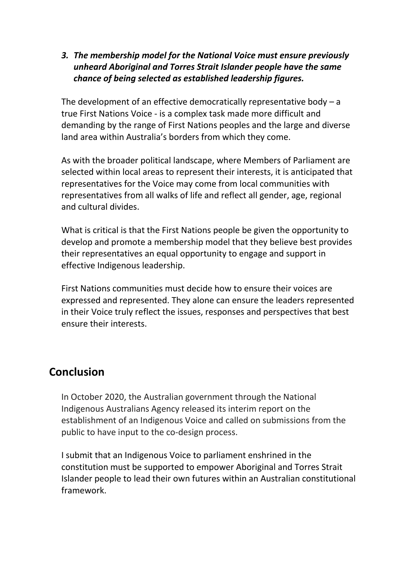*3. The membership model for the National Voice must ensure previously unheard Aboriginal and Torres Strait Islander people have the same chance of being selected as established leadership figures.*

The development of an effective democratically representative body  $-$  a true First Nations Voice - is a complex task made more difficult and demanding by the range of First Nations peoples and the large and diverse land area within Australia's borders from which they come.

As with the broader political landscape, where Members of Parliament are selected within local areas to represent their interests, it is anticipated that representatives for the Voice may come from local communities with representatives from all walks of life and reflect all gender, age, regional and cultural divides.

What is critical is that the First Nations people be given the opportunity to develop and promote a membership model that they believe best provides their representatives an equal opportunity to engage and support in effective Indigenous leadership.

First Nations communities must decide how to ensure their voices are expressed and represented. They alone can ensure the leaders represented in their Voice truly reflect the issues, responses and perspectives that best ensure their interests.

### **Conclusion**

In October 2020, the Australian government through the National Indigenous Australians Agency released its interim report on the establishment of an Indigenous Voice and called on submissions from the public to have input to the co-design process.

I submit that an Indigenous Voice to parliament enshrined in the constitution must be supported to empower Aboriginal and Torres Strait Islander people to lead their own futures within an Australian constitutional framework.